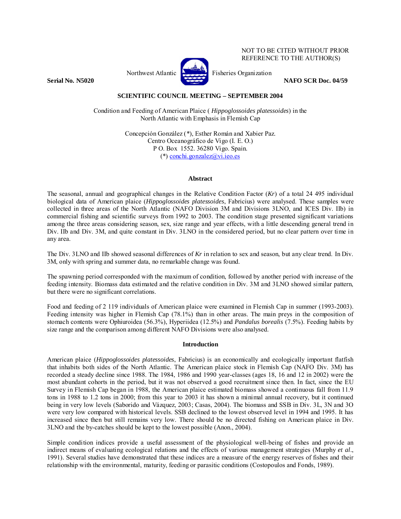

NOT TO BE CITED WITHOUT PRIOR REFERENCE TO THE AUTHOR(S)

**Serial No. N5020 NAFO SCR Doc. 04/59** 

# **SCIENTIFIC COUNCIL MEETING – SEPTEMBER 2004**

Condition and Feeding of American Plaice ( *Hippoglossoides platessoides*) in the North Atlantic with Emphasis in Flemish Cap

> Concepción González (\*), Esther Román and Xabier Paz. Centro Oceanográfico de Vigo (I. E. O.) P O. Box 1552. 36280 Vigo. Spain. (\*) conchi.gonzalez@vi.ieo.es

### **Abstract**

The seasonal, annual and geographical changes in the Relative Condition Factor (*Kr*) of a total 24 495 individual biological data of American plaice (*Hippoglossoides platessoides*, Fabricius) were analysed. These samples were collected in three areas of the North Atlantic (NAFO Division 3M and Divisions 3LNO, and ICES Div. IIb) in commercial fishing and scientific surveys from 1992 to 2003. The condition stage presented significant variations among the three areas considering season, sex, size range and year effects, with a little descending general trend in Div. IIb and Div. 3M, and quite constant in Div. 3LNO in the considered period, but no clear pattern over time in any area.

The Div. 3LNO and IIb showed seasonal differences of *Kr* in relation to sex and season, but any clear trend. In Div. 3M, only with spring and summer data, no remarkable change was found.

The spawning period corresponded with the maximum of condition, followed by another period with increase of the feeding intensity. Biomass data estimated and the relative condition in Div. 3M and 3LNO showed similar pattern, but there were no significant correlations.

Food and feeding of 2 119 individuals of American plaice were examined in Flemish Cap in summer (1993-2003). Feeding intensity was higher in Flemish Cap (78.1%) than in other areas. The main preys in the composition of stomach contents were Ophiuroidea (56.3%), Hyperiidea (12.5%) and *Pandalus borealis* (7.5%). Feeding habits by size range and the comparison among different NAFO Divisions were also analysed.

## **Introduction**

American plaice (*Hippoglossoides platessoides*, Fabricius) is an economically and ecologically important flatfish that inhabits both sides of the North Atlantic. The American plaice stock in Flemish Cap (NAFO Div. 3M) has recorded a steady decline since 1988. The 1984, 1986 and 1990 year-classes (ages 18, 16 and 12 in 2002) were the most abundant cohorts in the period, but it was not observed a good recruitment since then. In fact, since the EU Survey in Flemish Cap began in 1988, the American plaice estimated biomass showed a continuous fall from 11.9 tons in 1988 to 1.2 tons in 2000; from this year to 2003 it has shown a minimal annual recovery, but it continued being in very low levels (Saborido and Vázquez, 2003; Casas, 2004). The biomass and SSB in Div. 3L, 3N and 3O were very low compared with historical levels. SSB declined to the lowest observed level in 1994 and 1995. It has increased since then but still remains very low. There should be no directed fishing on American plaice in Div. 3LNO and the by-catches should be kept to the lowest possible (Anon., 2004).

Simple condition indices provide a useful assessment of the physiological well-being of fishes and provide an indirect means of evaluating ecological relations and the effects of various management strategies (Murphy *et al*., 1991). Several studies have demonstrated that these indices are a measure of the energy reserves of fishes and their relationship with the environmental, maturity, feeding or parasitic conditions (Costopoulos and Fonds, 1989).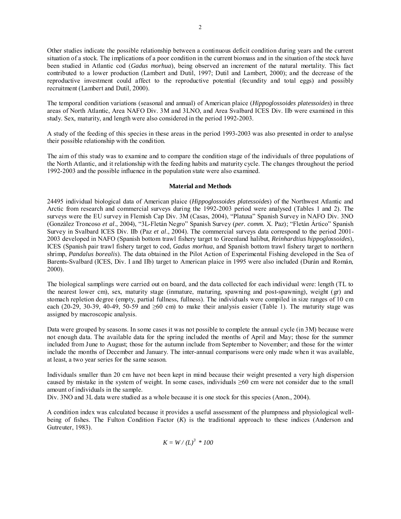Other studies indicate the possible relationship between a continuous deficit condition during years and the current situation of a stock. The implications of a poor condition in the current biomass and in the situation of the stock have been studied in Atlantic cod (*Gadus morhua*), being observed an increment of the natural mortality. This fact contributed to a lower production (Lambert and Dutil, 1997; Dutil and Lambert, 2000); and the decrease of the reproductive investment could affect to the reproductive potential (fecundity and total eggs) and possibly recruitment (Lambert and Dutil, 2000).

The temporal condition variations (seasonal and annual) of American plaice (*Hippoglossoides platessoides*) in three areas of North Atlantic, Area NAFO Div. 3M and 3LNO, and Area Svalbard ICES Div. IIb were examined in this study. Sex, maturity, and length were also considered in the period 1992-2003.

A study of the feeding of this species in these areas in the period 1993-2003 was also presented in order to analyse their possible relationship with the condition.

The aim of this study was to examine and to compare the condition stage of the individuals of three populations of the North Atlantic, and it relationship with the feeding habits and maturity cycle. The changes throughout the period 1992-2003 and the possible influence in the population state were also examined.

### **Material and Methods**

24495 individual biological data of American plaice (*Hippoglossoides platessoides*) of the Northwest Atlantic and Arctic from research and commercial surveys during the 1992-2003 period were analysed (Tables 1 and 2). The surveys were the EU survey in Flemish Cap Div. 3M (Casas, 2004), "Platuxa" Spanish Survey in NAFO Div. 3NO (González Troncoso *et al*., 2004), "3L-Fletán Negro" Spanish Survey (*per. comm.* X. Paz); "Fletán Ártico" Spanish Survey in Svalbard ICES Div. IIb (Paz *et al*., 2004). The commercial surveys data correspond to the period 2001- 2003 developed in NAFO (Spanish bottom trawl fishery target to Greenland halibut, *Reinhardtius hippoglossoides*), ICES (Spanish pair trawl fishery target to cod, *Gadus morhua*, and Spanish bottom trawl fishery target to northern shrimp, *Pandalus borealis*). The data obtained in the Pilot Action of Experimental Fishing developed in the Sea of Barents-Svalbard (ICES, Div. I and IIb) target to American plaice in 1995 were also included (Durán and Román, 2000).

The biological samplings were carried out on board, and the data collected for each individual were: length (TL to the nearest lower cm), sex, maturity stage (inmature, maturing, spawning and post-spawning), weight (gr) and stomach repletion degree (empty, partial fullness, fullness). The individuals were compiled in size ranges of 10 cm each (20-29, 30-39, 40-49, 50-59 and  $\geq 60$  cm) to make their analysis easier (Table 1). The maturity stage was assigned by macroscopic analysis.

Data were grouped by seasons. In some cases it was not possible to complete the annual cycle (in 3M) because were not enough data. The available data for the spring included the months of April and May; those for the summer included from June to August; those for the autumn include from September to November; and those for the winter include the months of December and January. The inter-annual comparisons were only made when it was available, at least, a two year series for the same season.

Individuals smaller than 20 cm have not been kept in mind because their weight presented a very high dispersion caused by mistake in the system of weight. In some cases, individuals  $\geq 60$  cm were not consider due to the small amount of individuals in the sample.

Div. 3NO and 3L data were studied as a whole because it is one stock for this species (Anon., 2004).

A condition index was calculated because it provides a useful assessment of the plumpness and physiological wellbeing of fishes. The Fulton Condition Factor (*K*) is the traditional approach to these indices (Anderson and Gutreuter, 1983).

$$
K = W / (L)^3 * 100
$$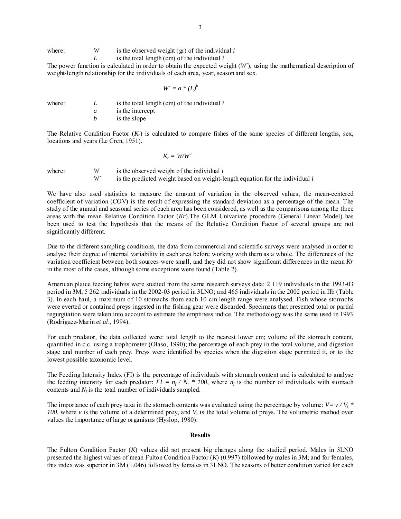where: *W* is the observed weight (gr) of the individual *i* 

*L* is the total length (cm) of the individual *i*

The power function is calculated in order to obtain the expected weight (*W´*), using the mathematical description of weight-length relationship for the individuals of each area, year, season and sex.

$$
W'=a*(L)^b
$$

where: *L* is the total length (cm) of the individual *i* 

*a* is the intercept

*b* is the slope

The Relative Condition Factor  $(K_r)$  is calculated to compare fishes of the same species of different lengths, sex, locations and years (Le Cren, 1951).

 $K_r = W/W'$ 

where: *W* is the observed weight of the individual *i W´* is the predicted weight based on weight-length equation for the individual *i*

We have also used statistics to measure the amount of variation in the observed values; the mean-centered coefficient of variation (COV) is the result of expressing the standard deviation as a percentage of the mean. The study of the annual and seasonal series of each area has been considered, as well as the comparisons among the three areas with the mean Relative Condition Factor (*Kr*).The GLM Univariate procedure (General Linear Model) has been used to test the hypothesis that the means of the Relative Condition Factor of several groups are not significantly different.

Due to the different sampling conditions, the data from commercial and scientific surveys were analysed in order to analyse their degree of internal variability in each area before working with them as a whole. The differences of the variation coefficient between both sources were small, and they did not show significant differences in the mean *Kr* in the most of the cases, although some exceptions were found (Table 2).

American plaice feeding habits were studied from the same research surveys data: 2 119 individuals in the 1993-03 period in 3M; 5 262 individuals in the 2002-03 period in 3LNO; and 465 individuals in the 2002 period in IIb (Table 3). In each haul, a maximum of 10 stomachs from each 10 cm length range were analysed. Fish whose stomachs were everted or contained preys ingested in the fishing gear were discarded. Specimens that presented total or partial regurgitation were taken into account to estimate the emptiness indice. The methodology was the same used in 1993 (Rodríguez-Marín *et al*., 1994).

For each predator, the data collected were: total length to the nearest lower cm; volume of the stomach content, quantified in c.c. using a trophometer (Olaso, 1990); the percentage of each prey in the total volume, and digestion stage and number of each prey. Preys were identified by species when the digestion stage permitted it, or to the lowest possible taxonomic level.

The Feeding Intensity Index (FI) is the percentage of individuals with stomach content and is calculated to analyse the feeding intensity for each predator:  $FI = n_f / N_t * 100$ , where  $n_f$  is the number of individuals with stomach contents and  $N_f$  is the total number of individuals sampled.

The importance of each prey taxa in the stomach contents was evaluated using the percentage by volume:  $V = v / V<sub>t</sub>$  \* *100*, where *v* is the volume of a determined prey, and *V<sub>t</sub>* is the total volume of preys. The volumetric method over values the importance of large organisms (Hyslop, 1980).

### **Results**

The Fulton Condition Factor (*K*) values did not present big changes along the studied period. Males in 3LNO presented the highest values of mean Fulton Condition Factor (*K*) (0.997) followed by males in 3M; and for females, this index was superior in 3M (1.046) followed by females in 3LNO. The seasons of better condition varied for each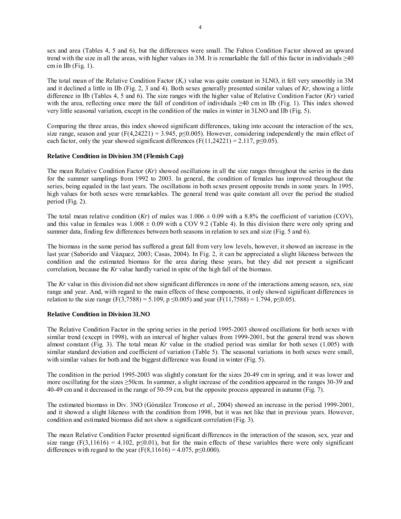sex and area (Tables 4, 5 and 6), but the differences were small. The Fulton Condition Factor showed an upward trend with the size in all the areas, with higher values in 3M. It is remarkable the fall of this factor in individuals  $\geq 40$ cm in IIb (Fig.  $1$ ).

The total mean of the Relative Condition Factor (*Kr*) value was quite constant in 3LNO, it fell very smoothly in 3M and it declined a little in IIb (Fig. 2, 3 and 4). Both sexes generally presented similar values of *Kr*, showing a little difference in IIb (Tables 4, 5 and 6). The size ranges with the higher value of Relative Condition Factor (*Kr*) varied with the area, reflecting once more the fall of condition of individuals  $\geq 40$  cm in IIb (Fig. 1). This index showed very little seasonal variation, except in the condition of the males in winter in 3LNO and IIb (Fig. 5).

Comparing the three areas, this index showed significant differences, taking into account the interaction of the sex, size range, season and year (F(4,24221) = 3.945, p≤0.005). However, considering independently the main effect of each factor, only the year showed significant differences ( $F(11,24221) = 2.117$ ,  $p \le 0.05$ ).

### **Relative Condition in Division 3M (Flemish Cap)**

The mean Relative Condition Factor (*Kr*) showed oscillations in all the size ranges throughout the series in the data for the summer samplings from 1992 to 2003. In general, the condition of females has improved throughout the series, being equaled in the last years. The oscillations in both sexes present opposite trends in some years. In 1995, high values for both sexes were remarkables. The general trend was quite constant all over the period the studied period (Fig. 2).

The total mean relative condition (*Kr*) of males was  $1.006 \pm 0.09$  with a 8.8% the coefficient of variation (COV), and this value in females was  $1.008 \pm 0.09$  with a COV 9.2 (Table 4). In this division there were only spring and summer data, finding few differences between both seasons in relation to sex and size (Fig. 5 and 6).

The biomass in the same period has suffered a great fall from very low levels, however, it showed an increase in the last year (Saborido and Vázquez, 2003; Casas, 2004). In Fig. 2, it can be appreciated a slight likeness between the condition and the estimated biomass for the area during these years, but they did not present a significant correlation, because the *Kr* value hardly varied in spite of the high fall of the biomass.

The *Kr* value in this division did not show significant differences in none of the interactions among season, sex, size range and year. And, with regard to the main effects of these components, it only showed significant differences in relation to the size range (F(3,7588) = 5.109, p ≤0.005) and year (F(11,7588) = 1.794, p ≤0.05).

## **Relative Condition in Division 3LNO**

The Relative Condition Factor in the spring series in the period 1995-2003 showed oscillations for both sexes with similar trend (except in 1998), with an interval of higher values from 1999-2001, but the general trend was shown almost constant (Fig. 3). The total mean *Kr* value in the studied period was similar for both sexes (1.005) with similar standard deviation and coefficient of variation (Table 5). The seasonal variations in both sexes were small, with similar values for both and the biggest difference was found in winter (Fig. 5).

The condition in the period 1995-2003 was slightly constant for the sizes 20-49 cm in spring, and it was lower and more oscillating for the sizes  $\geq$ 50cm. In summer, a slight increase of the condition appeared in the ranges 30-39 and 40-49 cm and it decreased in the range of 50-59 cm, but the opposite process appeared in autumn (Fig. 7).

The estimated biomass in Div. 3NO (Gónzález Troncoso *et al*., 2004) showed an increase in the period 1999-2001, and it showed a slight likeness with the condition from 1998, but it was not like that in previous years. However, condition and estimated biomass did not show a significant correlation (Fig. 3).

The mean Relative Condition Factor presented significant differences in the interaction of the season, sex, year and size range (F(3,11616) = 4.102,  $p \le 0.01$ ), but for the main effects of these variables there were only significant differences with regard to the year ( $F(8,11616) = 4.075$ ,  $p \le 0.000$ ).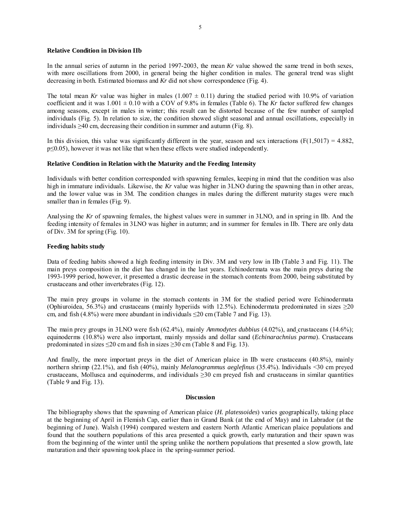### **Relative Condition in Division IIb**

In the annual series of autumn in the period 1997-2003, the mean *Kr* value showed the same trend in both sexes, with more oscillations from 2000, in general being the higher condition in males. The general trend was slight decreasing in both. Estimated biomass and *Kr* did not show correspondence (Fig. 4).

The total mean *Kr* value was higher in males  $(1.007 \pm 0.11)$  during the studied period with 10.9% of variation coefficient and it was  $1.001 \pm 0.10$  with a COV of 9.8% in females (Table 6). The *Kr* factor suffered few changes among seasons, except in males in winter; this result can be distorted because of the few number of sampled individuals (Fig. 5). In relation to size, the condition showed slight seasonal and annual oscillations, especially in individuals ≥40 cm, decreasing their condition in summer and autumn (Fig. 8).

In this division, this value was significantly different in the year, season and sex interactions  $(F(1,5017) = 4.882)$ , p≤0.05), however it was not like that when these effects were studied independently.

#### **Relative Condition in Relation with the Maturity and the Feeding Intensity**

Individuals with better condition corresponded with spawning females, keeping in mind that the condition was also high in immature individuals. Likewise, the *Kr* value was higher in 3LNO during the spawning than in other areas, and the lower value was in 3M. The condition changes in males during the different maturity stages were much smaller than in females (Fig. 9).

Analysing the *Kr* of spawning females, the highest values were in summer in 3LNO, and in spring in IIb. And the feeding intensity of females in 3LNO was higher in autumn; and in summer for females in IIb. There are only data of Div. 3M for spring (Fig. 10).

#### **Feeding habits study**

Data of feeding habits showed a high feeding intensity in Div. 3M and very low in IIb (Table 3 and Fig. 11). The main preys composition in the diet has changed in the last years. Echinodermata was the main preys during the 1993-1999 period, however, it presented a drastic decrease in the stomach contents from 2000, being substituted by crustaceans and other invertebrates (Fig. 12).

The main prey groups in volume in the stomach contents in 3M for the studied period were Echinodermata (Ophiuroidea, 56.3%) and crustaceans (mainly hyperiids with 12.5%). Echinodermata predominated in sizes  $\geq$ 20 cm, and fish (4.8%) were more abundant in individuals  $\leq$ 20 cm (Table 7 and Fig. 13).

The main prey groups in 3LNO were fish (62.4%), mainly *Ammodytes dubbius* (4.02%), and crustaceans (14.6%); equinoderms (10.8%) were also important, mainly myssids and dollar sand (*Echinarachnius parma*). Crustaceans predominated in sizes  $\leq 20$  cm and fish in sizes  $\geq 30$  cm (Table 8 and Fig. 13).

And finally, the more important preys in the diet of American plaice in IIb were crustaceans (40.8%), mainly northern shrimp (22.1%), and fish (40%), mainly *Melanogrammus aeglefinus* (35.4%). Individuals <30 cm preyed crustaceans, Mollusca and equinoderms, and individuals  $\geq$ 30 cm preyed fish and crustaceans in similar quantities (Table 9 and Fig. 13).

#### **Discussion**

The bibliography shows that the spawning of American plaice (*H. platessoides*) varies geographically, taking place at the beginning of April in Flemish Cap, earlier than in Grand Bank (at the end of May) and in Labrador (at the beginning of June). Walsh (1994) compared western and eastern North Atlantic American plaice populations and found that the southern populations of this area presented a quick growth, early maturation and their spawn was from the beginning of the winter until the spring unlike the northern populations that presented a slow growth, late maturation and their spawning took place in the spring-summer period.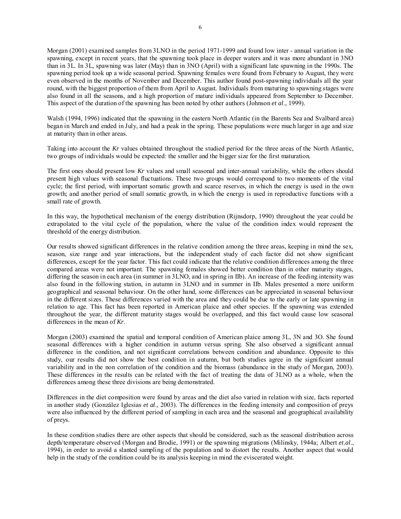Morgan (2001) examined samples from 3LNO in the period 1971-1999 and found low inter - annual variation in the spawning, except in recent years, that the spawning took place in deeper waters and it was more abundant in 3NO than in 3L. In 3L, spawning was later (May) than in 3NO (April) with a significant late spawning in the 1990s. The spawning period took up a wide seasonal period. Spawning females were found from February to August, they were even observed in the months of November and December. This author found post-spawning individuals all the year round, with the biggest proportion of them from April to August. Individuals from maturing to spawning stages were also found in all the seasons, and a high proportion of mature individuals appeared from September to December. This aspect of the duration of the spawning has been noted by other authors (Johnson *et al*., 1999).

Walsh (1994, 1996) indicated that the spawning in the eastern North Atlantic (in the Barents Sea and Svalbard area) began in March and ended in July, and had a peak in the spring. These populations were much larger in age and size at maturity than in other areas.

Taking into account the *Kr* values obtained throughout the studied period for the three areas of the North Atlantic, two groups of individuals would be expected: the smaller and the bigger size for the first maturation.

The first ones should present low *Kr* values and small seasonal and inter-annual variability, while the others should present high values with seasonal fluctuations. These two groups would correspond to two moments of the vital cycle; the first period, with important somatic growth and scarce reserves, in which the energy is used in the own growth; and another period of small somatic growth, in which the energy is used in reproductive functions with a small rate of growth.

In this way, the hypothetical mechanism of the energy distribution (Rijnsdorp, 1990) throughout the year could be extrapolated to the vital cycle of the population, where the value of the condition index would represent the threshold of the energy distribution.

Our results showed significant differences in the relative condition among the three areas, keeping in mind the sex, season, size range and year interactions, but the independent study of each factor did not show significant differences, except for the year factor. This fact could indicate that the relative condition differences among the three compared areas were not important. The spawning females showed better condition than in other maturity stages, differing the season in each area (in summer in 3LNO, and in spring in IIb). An increase of the feeding intensity was also found in the following station, in autumn in 3LNO and in summer in IIb. Males presented a more uniform geographical and seasonal behaviour. On the other hand, some differences can be appreciated in seasonal behaviour in the different sizes. These differences varied with the area and they could be due to the early or late spawning in relation to age. This fact has been reported in American plaice and other species. If the spawning was extended throughout the year, the different maturity stages would be overlapped, and this fact would cause low seasonal differences in the mean of *Kr*.

Morgan (2003) examined the spatial and temporal condition of American plaice among 3L, 3N and 3O. She found seasonal differences with a higher condition in autumn versus spring. She also observed a significant annual difference in the condition, and not significant correlations between condition and abundance. Opposite to this study, our results did not show the best condition in autumn, but both studies agree in the significant annual variability and in the non correlation of the condition and the biomass (abundance in the study of Morgan, 2003). These differences in the results can be related with the fact of treating the data of 3LNO as a whole, when the differences among these three divisions are being demonstrated.

Differences in the diet composition were found by areas and the diet also varied in relation with size, facts reported in another study (González Iglesias *et al*., 2003). The differences in the feeding intensity and composition of preys were also influenced by the different period of sampling in each area and the seasonal and geographical availability of preys.

In these condition studies there are other aspects that should be considered, such as the seasonal distribution across depth/temperature observed (Morgan and Brodie, 1991) or the spawning migrations (Milinsky, 1944a; Albert *et.al*., 1994), in order to avoid a slanted sampling of the population and to distort the results. Another aspect that would help in the study of the condition could be its analysis keeping in mind the eviscerated weight.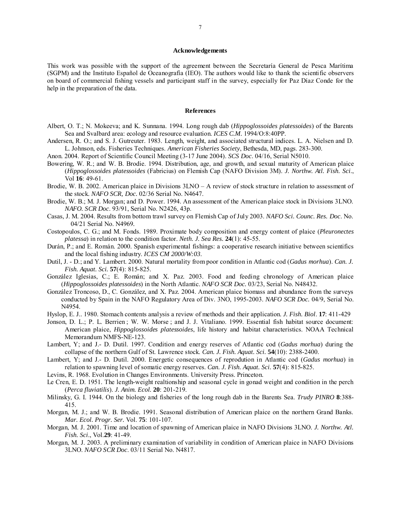#### **Acknowledgements**

This work was possible with the support of the agreement between the Secretaría General de Pesca Marítima (SGPM) and the Instituto Español de Oceanografía (IEO). The authors would like to thank the scientific observers on board of commercial fishing vessels and participant staff in the survey, especially for Paz Díaz Conde for the help in the preparation of the data.

#### **References**

- Albert, O. T.; N. Mokeeva; and K. Sunnana. 1994. Long rough dab (*Hippoglossoides platessoides*) of the Barents Sea and Svalbard area: ecology and resource evaluation. *ICES C.M.* 1994/O:8:40PP.
- Andersen, R. O.; and S. J. Gutreuter. 1983. Length, weight, and associated structural indices. L. A. Nielsen and D. L. Johnson, eds. Fisheries Techniques. *American Fisheries Society*, Bethesda, MD, pags. 283-300.
- Anon. 2004. Report of Scientific Council Meeting (3-17 June 2004). *SCS Doc*. 04/16, Serial N5010.
- Bowering, W. R.; and W. B. Brodie. 1994. Distribution, age, and growth, and sexual maturity of American plaice (*Hippoglossoides platessoides* (Fabricius) on Flemish Cap (NAFO Division 3M). *J. Northw. Atl. Fish. Sci*., Vol **16**: 49-61.
- Brodie, W. B. 2002. American plaice in Divisions 3LNO A review of stock structure in relation to assessment of the stock. *NAFO SCR, Doc.* 02/36 Serial No. N4647.
- Brodie, W. B.; M. J. Morgan; and D. Power. 1994. An assessment of the American plaice stock in Divisions 3LNO. *NAFO. SCR Doc*. 93/91, Serial No. N2426, 43p.
- Casas, J. M. 2004. Results from bottom trawl survey on Flemish Cap of July 2003. *NAFO Sci. Counc. Res. Doc*. No. 04/21 Serial No. N4969*.*
- Costopoulos, C. G.; and M. Fonds. 1989. Proximate body composition and energy content of plaice (*Pleuronectes platessa*) in relation to the condition factor. *Neth. J. Sea Res.* **24**(1): 45-55.
- Durán, P.; and E. Román. 2000. Spanish experimental fishings: a cooperative research initiative between scientifics and the local fishing industry. *ICES CM 2000/W:03*.
- Dutil, J. D.; and Y. Lambert. 2000. Natural mortality from poor condition in Atlantic cod (*Gadus morhua*). *Can. J. Fish. Aquat. Sci.* **57**(4): 815-825.
- González Iglesias, C.; E. Román; and X. Paz. 2003. Food and feeding chronology of American plaice (*Hippoglossoides platessoides*) in the North Atlantic. *NAFO SCR Doc.* 03/23, Serial No. N48432.
- González Troncoso, D., C. González, and X. Paz. 2004. American plaice biomass and abundance from the surveys conducted by Spain in the NAFO Regulatory Area of Div. 3NO, 1995-2003. *NAFO SCR Doc.* 04/9, Serial No. N4954.
- Hyslop, E. J.. 1980. Stomach contents analysis a review of methods and their application. *J. Fish. Biol*. **17**: 411-429
- Jonson, D. L.; P. L. Berrien ; W. W. Morse ; and J. J. Vitaliano. 1999. Essential fish habitat source document: American plaice, *Hippoglossoides platessoides*, life history and habitat characteristics. NOAA Technical Memorandum NMFS-NE-123.
- Lambert, Y; and J.- D. Dutil. 1997. Condition and energy reserves of Atlantic cod (*Gadus morhua*) during the collapse of the northern Gulf of St. Lawrence stock. *Can. J. Fish. Aquat. Sci.* **54**(10): 2388-2400.
- Lambert, Y; and J.- D. Dutil. 2000. Energetic consequences of reprodution in Atlantic cod (*Gadus morhua*) in relation to spawning level of somatic energy reserves. *Can. J. Fish. Aquat. Sci.* **57**(4): 815-825.
- Levins, R. 1968. Evolution in Changes Environments. University Press. Princeton.
- Le Cren, E. D. 1951. The length-weight realtionship and seasonal cycle in gonad weight and condition in the perch (*Perca fluviatilis*). *J. Anim. Ecol.* **20**: 201-219.
- Milinsky, G. I. 1944. On the biology and fisheries of the long rough dab in the Barents Sea. *Trudy PINRO* **8**:388- 415.
- Morgan, M. J.; and W. B. Brodie. 1991. Seasonal distribution of American plaice on the northern Grand Banks. *Mar. Ecol. Progr. Ser.* Vol. **75**: 101-107.
- Morgan, M. J. 2001. Time and location of spawning of American plaice in NAFO Divisions 3LNO. *J. Northw. Atl. Fish. Sci*., Vol.**29**: 41-49.
- Morgan, M. J. 2003. A preliminary examination of variability in condition of American plaice in NAFO Divisions 3LNO. *NAFO SCR Doc*. 03/11 Serial No. N4817.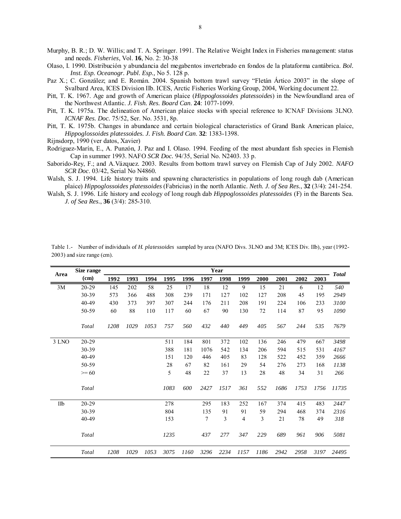Murphy, B. R.; D. W. Willis; and T. A. Springer. 1991. The Relative Weight Index in Fisheries management: status and needs. *Fisheries*, Vol. **16**, No. 2: 30-38

- Olaso, I. 1990. Distribución y abundancia del megabentos invertebrado en fondos de la plataforma cantábrica. *Bol. Inst. Esp. Oceanogr. Publ. Esp.,* No 5. 128 p.
- Paz X.; C. González; and E. Román. 2004. Spanish bottom trawl survey "Fletán Ártico 2003" in the slope of Svalbard Area, ICES Division IIb. ICES, Arctic Fisheries Working Group, 2004, Working document 22.
- Pitt, T. K. 1967. Age and growth of American plaice (*Hippoglossoides platessoides*) in the Newfoundland area of the Northwest Atlantic. *J. Fish. Res. Board Can*. **24**: 1077-1099.
- Pitt, T. K. 1975a. The delineation of American plaice stocks with special reference to ICNAF Divisions 3LNO. *ICNAF Res. Doc.* 75/52, Ser. No. 3531, 8p.
- Pitt, T. K. 1975b. Changes in abundance and certain biological characteristics of Grand Bank American plaice, *Hippoglossoides platessoides. J. Fish. Board Can*. **32**: 1383-1398.
- Rijnsdorp, 1990 (ver datos, Xavier)
- Rodriguez-Marín, E., A. Punzón, J. Paz and I. Olaso. 1994. Feeding of the most abundant fish species in Flemish Cap in summer 1993. NAFO *SCR Doc.* 94/35, Serial No. N2403. 33 p.
- Saborido-Rey, F.; and A.Vázquez. 2003. Results from bottom trawl survey on Flemish Cap of July 2002. *NAFO SCR Doc*. 03/42, Serial No N4860*.*
- Walsh, S. J. 1994. Life history traits and spawning characteristics in populations of long rough dab (American plaice) *Hippoglossoides platessoides* (Fabricius) in the north Atlantic. *Neth. J. of Sea Res.*, **32** (3/4): 241-254.
- Walsh, S. J. 1996. Life history and ecology of long rough dab *Hippoglossoides platessoides* (F) in the Barents Sea. *J. of Sea Res.*, **36** (3/4): 285-310.

| Area  | Size range   | Year |      |      |      |      |      |      |      |      |      | <b>Total</b> |      |       |
|-------|--------------|------|------|------|------|------|------|------|------|------|------|--------------|------|-------|
|       | (cm)         | 1992 | 1993 | 1994 | 1995 | 1996 | 1997 | 1998 | 1999 | 2000 | 2001 | 2002         | 2003 |       |
| 3M    | $20 - 29$    | 145  | 202  | 58   | 25   | 17   | 18   | 12   | 9    | 15   | 21   | 6            | 12   | 540   |
|       | 30-39        | 573  | 366  | 488  | 308  | 239  | 171  | 127  | 102  | 127  | 208  | 45           | 195  | 2949  |
|       | 40-49        | 430  | 373  | 397  | 307  | 244  | 176  | 211  | 208  | 191  | 224  | 106          | 233  | 3100  |
|       | 50-59        | 60   | 88   | 110  | 117  | 60   | 67   | 90   | 130  | 72   | 114  | 87           | 95   | 1090  |
|       | <b>Total</b> | 1208 | 1029 | 1053 | 757  | 560  | 432  | 440  | 449  | 405  | 567  | 244          | 535  | 7679  |
| 3 LNO | 20-29        |      |      |      | 511  | 184  | 801  | 372  | 102  | 136  | 246  | 479          | 667  | 3498  |
|       | 30-39        |      |      |      | 388  | 181  | 1076 | 542  | 134  | 206  | 594  | 515          | 531  | 4167  |
|       | 40-49        |      |      |      | 151  | 120  | 446  | 405  | 83   | 128  | 522  | 452          | 359  | 2666  |
|       | 50-59        |      |      |      | 28   | 67   | 82   | 161  | 29   | 54   | 276  | 273          | 168  | 1138  |
|       | $>= 60$      |      |      |      | 5    | 48   | 22   | 37   | 13   | 28   | 48   | 34           | 31   | 266   |
|       | Total        |      |      |      | 1083 | 600  | 2427 | 1517 | 361  | 552  | 1686 | 1753         | 1756 | 11735 |
| IIb   | 20-29        |      |      |      | 278  |      | 295  | 183  | 252  | 167  | 374  | 415          | 483  | 2447  |
|       | 30-39        |      |      |      | 804  |      | 135  | 91   | 91   | 59   | 294  | 468          | 374  | 2316  |
|       | 40-49        |      |      |      | 153  |      | 7    | 3    | 4    | 3    | 21   | 78           | 49   | 318   |
|       | Total        |      |      |      | 1235 |      | 437  | 277  | 347  | 229  | 689  | 961          | 906  | 5081  |
|       | Total        | 1208 | 1029 | 1053 | 3075 | 1160 | 3296 | 2234 | 1157 | 1186 | 2942 | 2958         | 3197 | 24495 |

Table 1.- Number of individuals of *H. platessoides* sampled by area (NAFO Divs. 3LNO and 3M; ICES Div. IIb), year (1992- 2003) and size range (cm).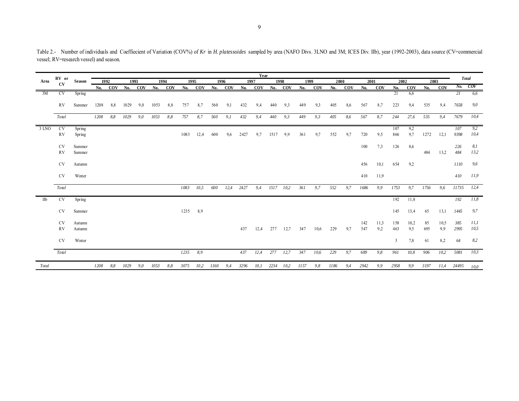No. COV No. COV No. COV No. COV No. COV No. COV No. COV No. COV No. COV No. COV No. COV No. COV No. COV <sup>No. COV</sup> 3M CV Spring 21 6,6 *21 6,6* RV Summer 1208 8,8 1029 9,0 1053 8,8 757 8,7 560 9,1 432 9,4 440 9,3 449 9,3 405 8,6 567 8,7 223 9,4 535 9,4 *7658 9,0 Total 1208 8,8 1029 9,0 1053 8,8 757 8,7 560 9,1 432 9,4 440 9,3 449 9,3 405 8,6 567 8,7 244 27,6 535 9,4 7679 10,4* 3 LNO CV Spring 107 9,2 *107 9,2* RV Spring 1083 12,4 600 9,6 2427 9,7 1517 9,9 361 9,7 552 9,7 720 9,5 866 9,7 1272 12,1 *9398 10,4* CV Summer 100 7,3 126 8,6 *226 8,1* RV Summer 484 13,2 *484 13,2* CV Autumn 456 10,1 654 9,2 *1110 9,6* CV Winter 410 11,9 *410 11,9* 7083 10,5 600 12,4 2427 9,4 1517 10,2 361 9,7 552 9,7 1686 9,9 1753 9,7 1756 9,6 11735 12,4 IIb CV Spring 192 11,8 *192 11,8* CV Summer 1235 8,9 145 13,4 65 13,1 *1445 9,7* CV Autumn 142 11,3 158 10,2 85 10,5 *385 11,1* RV Autumn 437 12,4 277 12,7 347 10,6 229 9,7 547 9,2 463 9,5 695 9,9 *2995 10,5* CV Winter 3 7,8 61 8,2 *64 8,2* 10,3 7 12,4 277 12,7 347 10,6 229 9,7 689 9,8 961 10,8 906 10,2 5081 10,3 7 12,4 277 12,4 277 12,7 3 Total 1208 8,8 1029 9,0 1053 8,8 3075 10,2 1160 9,4 3296 10,1 2234 10,2 1157 9,8 1186 9,4 2942 9,9 2958 9,9 3197 11,4 24495 <sub>10,0</sub> **Area RV or CV Season Year <sup>1992</sup> <sup>1993</sup> <sup>1994</sup> <sup>1995</sup>** *Total* **1996 1997 1998 19992000 2001 2002 2003**

Table 2.- Number of individuals and Coeffiecient of Variation (COV%) of Kr in H. platessoides sampled by area (NAFO Divs. 3LNO and 3M; ICES Div. IIb), year (1992-2003), data source (CV=commercial vessel; RV=research vessel) and season.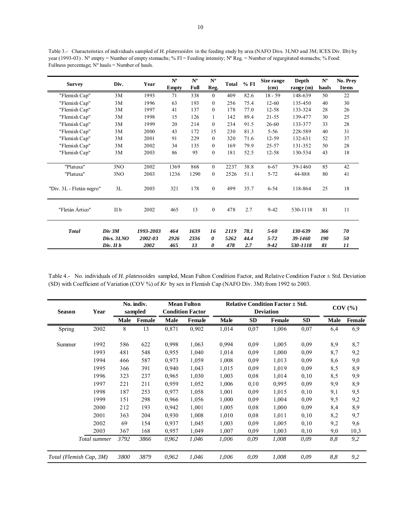Table 3.- Characteristics of individuals sampled of *H. platessoides* in the feeding study by area (NAFO Divs. 3LNO and 3M; ICES Div. IIb) by year (1993-03) . N° empty = Number of empty stomachs; % FI = Feeding intensity; N° Reg. = Number of regurgitated stomachs; % Food: Fullness percentage; Nº hauls = Number of hauls.

| <b>Survey</b>            | Div.                 | Year                 | $N^{\rm o}$  | $N^{\rm o}$  | $N^{\rm o}$    | % FI<br>Total |              | Size range           | Depth              | $N^{\rm o}$ | No. Prey     |
|--------------------------|----------------------|----------------------|--------------|--------------|----------------|---------------|--------------|----------------------|--------------------|-------------|--------------|
|                          |                      |                      | <b>Empty</b> | Full         | Reg.           |               |              | (cm)                 | range $(m)$        | hauls       | <b>Items</b> |
| "Flemish Cap"            | 3M                   | 1993                 | 71           | 338          | $\theta$       | 409           | 82.6         | $18 - 59$            | 148-639            | 50          | 22           |
| "Flemish Cap"            | 3M                   | 1996                 | 63           | 193          | $\Omega$       | 256           | 75.4         | $12 - 60$            | 135-450            | 40          | 30           |
| "Flemish Cap"            | 3M                   | 1997                 | 41           | 137          | $\Omega$       | 178           | 77.0         | $12 - 58$            | 133-324            | 28          | 26           |
| "Flemish Cap"            | 3M                   | 1998                 | 15           | 126          | 1              | 142           | 89.4         | 21-55                | 139-477            | 30          | 25           |
| "Flemish Cap"            | 3M                   | 1999                 | 20           | 214          | $\theta$       | 234           | 91.5         | $26 - 60$            | 133-377            | 33          | 28           |
| "Flemish Cap"            | 3M                   | 2000                 | 43           | 172          | 15             | 230           | 81.3         | $5 - 56$             | 228-589            | 40          | 31           |
| "Flemish Cap"            | 3M                   | 2001                 | 91           | 229          | $\theta$       | 320           | 71.6         | $12 - 59$            | 132-631            | 52          | 37           |
| "Flemish Cap"            | 3M                   | 2002                 | 34           | 135          | $\theta$       | 169           | 79.9         | 25-57                | 131-352            | 50          | 28           |
| "Flemish Cap"            | 3M                   | 2003                 | 86           | 95           | $\mathbf{0}$   | 181           | 52.5         | $12 - 58$            | 130-534            | 43          | 18           |
|                          |                      |                      |              |              |                |               |              |                      |                    |             |              |
| "Platuxa"                | 3NO                  | 2002                 | 1369         | 868          | $\Omega$       | 2237          | 38.8         | $6 - 67$             | 39-1460            | 85          | 42           |
| "Platuxa"                | 3NO                  | 2003                 | 1236         | 1290         | $\Omega$       | 2526          | 51.1         | $5 - 72$             | 44-888             | 80          | 41           |
| "Div. 3L - Fletán negro" | 3L                   | 2003                 | 321          | 178          | $\overline{0}$ | 499           | 35.7         | $6 - 54$             | 118-864            | 25          | 18           |
| "Fletán Ártico"          | II b                 | 2002                 | 465          | 13           | $\mathbf{0}$   | 478           | 2.7          | $9 - 42$             | 530-1118           | 81          | 11           |
| <b>Total</b>             | Div 3M<br>Divs. 3LNO | 1993-2003<br>2002-03 | 464<br>2926  | 1639<br>2336 | 16<br>0        | 2119<br>5262  | 78.1<br>44.4 | $5 - 60$<br>$5 - 72$ | 130-639<br>39-1460 | 366<br>190  | 70<br>50     |
|                          | $Div.$ II $b$        | 2002                 | 465          | 13           | 0              | 478           | 2.7          | $9 - 42$             | 530-1118           | 81          | 11           |

Table 4.- No. individuals of *H. platessoides* sampled, Mean Fulton Condition Factor, and Relative Condition Factor ± Std. Deviation (SD) with Coefficient of Variation (COV %) of *Kr* by sex in Flemish Cap (NAFO Div. 3M) from 1992 to 2003.

| <b>Season</b> | Year                    | No. indiv.<br>sampled |        | <b>Mean Fulton</b><br><b>Condition Factor</b> |        | <b>Relative Condition Factor <math>\pm</math> Std.</b><br><b>Deviation</b> |           |        |           | $COV$ $%$ |               |
|---------------|-------------------------|-----------------------|--------|-----------------------------------------------|--------|----------------------------------------------------------------------------|-----------|--------|-----------|-----------|---------------|
|               |                         | <b>Male</b>           | Female | Male                                          | Female | Male                                                                       | <b>SD</b> | Female | <b>SD</b> | Male      | <b>Female</b> |
| Spring        | 2002                    | 8                     | 13     | 0,871                                         | 0,902  | 1,014                                                                      | 0,07      | 1,006  | 0,07      | 6,4       | 6,9           |
| Summer        | 1992                    | 586                   | 622    | 0,998                                         | 1,063  | 0.994                                                                      | 0.09      | 1,005  | 0,09      | 8,9       | 8,7           |
|               | 1993                    | 481                   | 548    | 0,955                                         | 1,040  | 1,014                                                                      | 0.09      | 1,000  | 0,09      | 8,7       | 9,2           |
|               | 1994                    | 466                   | 587    | 0,973                                         | 1,059  | 1,008                                                                      | 0,09      | 1,013  | 0,09      | 8,6       | 9,0           |
|               | 1995                    | 366                   | 391    | 0,940                                         | 1,043  | 1,015                                                                      | 0,09      | 1,019  | 0,09      | 8,5       | 8,9           |
|               | 1996                    | 323                   | 237    | 0,965                                         | 1,030  | 1,003                                                                      | 0,08      | 1,014  | 0,10      | 8,5       | 9,9           |
|               | 1997                    | 221                   | 211    | 0,959                                         | 1,052  | 1,006                                                                      | 0,10      | 0.995  | 0,09      | 9,9       | 8,9           |
|               | 1998                    | 187                   | 253    | 0,977                                         | 1,058  | 1,001                                                                      | 0,09      | 1,015  | 0,10      | 9,1       | 9,5           |
|               | 1999                    | 151                   | 298    | 0,966                                         | 1,056  | 1,000                                                                      | 0,09      | 1,004  | 0,09      | 9,5       | 9,2           |
|               | 2000                    | 212                   | 193    | 0,942                                         | 1,001  | 1,005                                                                      | 0,08      | 1,000  | 0,09      | 8,4       | 8,9           |
|               | 2001                    | 363                   | 204    | 0,930                                         | 1,008  | 1,010                                                                      | 0,08      | 1,011  | 0,10      | 8,2       | 9,7           |
|               | 2002                    | 69                    | 154    | 0,937                                         | 1,045  | 1,003                                                                      | 0.09      | 1,005  | 0,10      | 9,2       | 9,6           |
|               | 2003                    | 367                   | 168    | 0,957                                         | 1,049  | 1,007                                                                      | 0.09      | 1,003  | 0,10      | 9,0       | 10,3          |
|               | Total summer            | 3792                  | 3866   | 0,962                                         | 1,046  | 1,006                                                                      | 0,09      | 1,008  | 0,09      | 8,8       | 9,2           |
|               | Total (Flemish Cap, 3M) | 3800                  | 3879   | 0,962                                         | 1,046  | 1,006                                                                      | 0.09      | 1,008  | 0.09      | 8,8       | 9,2           |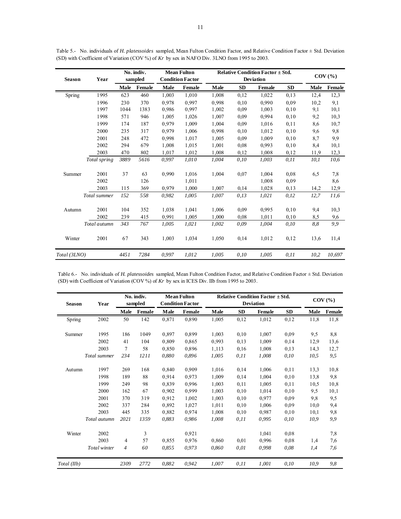| <b>Season</b> | Year         | No. indiv.<br>sampled |        | <b>Mean Fulton</b><br><b>Condition Factor</b> |        | <b>Relative Condition Factor <math>\pm</math> Std.</b><br><b>Deviation</b> |           |        |           | $COV$ $%$   |        |
|---------------|--------------|-----------------------|--------|-----------------------------------------------|--------|----------------------------------------------------------------------------|-----------|--------|-----------|-------------|--------|
|               |              | Male                  | Female | <b>Male</b>                                   | Female | Male                                                                       | <b>SD</b> | Female | <b>SD</b> | <b>Male</b> | Female |
| Spring        | 1995         | 623                   | 460    | 1,003                                         | 1,010  | 1,008                                                                      | 0,12      | 1,022  | 0,13      | 12,4        | 12,3   |
|               | 1996         | 230                   | 370    | 0.978                                         | 0,997  | 0.998                                                                      | 0,10      | 0.990  | 0.09      | 10,2        | 9,1    |
|               | 1997         | 1044                  | 1383   | 0.986                                         | 0,997  | 1,002                                                                      | 0,09      | 1,003  | 0,10      | 9,1         | 10,1   |
|               | 1998         | 571                   | 946    | 1,005                                         | 1,026  | 1.007                                                                      | 0.09      | 0.994  | 0,10      | 9,2         | 10,3   |
|               | 1999         | 174                   | 187    | 0.979                                         | 1,009  | 1.004                                                                      | 0,09      | 1,016  | 0,11      | 8,6         | 10,7   |
|               | 2000         | 235                   | 317    | 0.979                                         | 1,006  | 0,998                                                                      | 0,10      | 1,012  | 0,10      | 9,6         | 9,8    |
|               | 2001         | 248                   | 472    | 0,998                                         | 1,017  | 1,005                                                                      | 0,09      | 1,009  | 0,10      | 8,7         | 9,9    |
|               | 2002         | 294                   | 679    | 1,008                                         | 1,015  | 1,001                                                                      | 0.08      | 0,993  | 0,10      | 8,4         | 10,1   |
|               | 2003         | 470                   | 802    | 1,017                                         | 1,012  | 1,008                                                                      | 0,12      | 1,008  | 0,12      | 11,9        | 12,3   |
|               | Total spring | 3889                  | 5616   | 0,997                                         | 1,010  | 1,004                                                                      | 0,10      | 1,003  | 0, 11     | 10,1        | 10,6   |
| Summer        | 2001         | 37                    | 63     | 0,990                                         | 1,016  | 1,004                                                                      | 0,07      | 1,004  | 0.08      | 6,5         | 7,8    |
|               | 2002         |                       | 126    |                                               | 1,011  |                                                                            |           | 1,008  | 0.09      |             | 8,6    |
|               | 2003         | 115                   | 369    | 0,979                                         | 1,000  | 1,007                                                                      | 0,14      | 1,028  | 0,13      | 14,2        | 12,9   |
|               | Total summer | 152                   | 558    | 0,982                                         | 1,005  | 1,007                                                                      | 0,13      | 1,021  | 0,12      | 12,7        | 11,6   |
| Autumn        | 2001         | 104                   | 352    | 1,038                                         | 1,041  | 1,006                                                                      | 0,09      | 0,995  | 0,10      | 9,4         | 10,3   |
|               | 2002         | 239                   | 415    | 0.991                                         | 1,005  | 1,000                                                                      | 0.08      | 1,011  | 0,10      | 8.5         | 9,6    |
|               | Total autumn | 343                   | 767    | 1,005                                         | 1,021  | 1,002                                                                      | 0,09      | 1,004  | 0,10      | 8,8         | 9,9    |
| Winter        | 2001         | 67                    | 343    | 1,003                                         | 1,034  | 1,050                                                                      | 0,14      | 1,012  | 0,12      | 13,6        | 11,4   |
| Total (3LNO)  |              | 4451                  | 7284   | 0,997                                         | 1,012  | 1,005                                                                      | 0,10      | 1,005  | 0.11      | 10,2        | 10,697 |

Table 5.- No. individuals of *H. platessoides* sampled, Mean Fulton Condition Factor, and Relative Condition Factor ± Std. Deviation (SD) with Coefficient of Variation (COV %) of *Kr* by sex in NAFO Div. 3LNO from 1995 to 2003.

Table 6.- No. individuals of *H. platessoides* sampled, Mean Fulton Condition Factor, and Relative Condition Factor ± Std. Deviation (SD) with Coefficient of Variation (COV %) of *Kr* by sex in ICES Div. IIb from 1995 to 2003.

| <b>Season</b> | Year         | No. indiv.<br>sampled |        | <b>Mean Fulton</b><br><b>Condition Factor</b> |        | <b>Relative Condition Factor <math>\pm</math> Std.</b><br><b>Deviation</b> |           |        |           | $COV$ $(\%)$ |        |
|---------------|--------------|-----------------------|--------|-----------------------------------------------|--------|----------------------------------------------------------------------------|-----------|--------|-----------|--------------|--------|
|               |              | Male                  | Female | Male                                          | Female | Male                                                                       | <b>SD</b> | Female | <b>SD</b> | <b>Male</b>  | Female |
| Spring        | 2002         | 50                    | 142    | 0,871                                         | 0,890  | 1,005                                                                      | 0,12      | 1,012  | 0,12      | 11,8         | 11,8   |
| Summer        | 1995         | 186                   | 1049   | 0,897                                         | 0,899  | 1,003                                                                      | 0,10      | 1,007  | 0,09      | 9,5          | 8,8    |
|               | 2002         | 41                    | 104    | 0,809                                         | 0,865  | 0,993                                                                      | 0,13      | 1,009  | 0,14      | 12,9         | 13,6   |
|               | 2003         | 7                     | 58     | 0,850                                         | 0.896  | 1,113                                                                      | 0,16      | 1,008  | 0,13      | 14,3         | 12,7   |
|               | Total summer | 234                   | 1211   | 0,880                                         | 0,896  | 1,005                                                                      | 0.11      | 1,008  | 0,10      | 10,5         | 9,5    |
| Autumn        | 1997         | 269                   | 168    | 0,840                                         | 0,909  | 1,016                                                                      | 0,14      | 1,006  | 0,11      | 13,3         | 10,8   |
|               | 1998         | 189                   | 88     | 0,914                                         | 0.973  | 1,009                                                                      | 0,14      | 1,004  | 0,10      | 13,8         | 9,8    |
|               | 1999         | 249                   | 98     | 0,839                                         | 0.996  | 1,003                                                                      | 0,11      | 1,005  | 0,11      | 10,5         | 10,8   |
|               | 2000         | 162                   | 67     | 0,902                                         | 0,999  | 1,003                                                                      | 0,10      | 1,014  | 0,10      | 9,5          | 10,1   |
|               | 2001         | 370                   | 319    | 0.912                                         | 1,002  | 1,003                                                                      | 0,10      | 0.977  | 0.09      | 9,8          | 9,5    |
|               | 2002         | 337                   | 284    | 0,892                                         | 1,027  | 1,011                                                                      | 0,10      | 1,006  | 0,09      | 10,0         | 9,4    |
|               | 2003         | 445                   | 335    | 0,882                                         | 0.974  | 1,008                                                                      | 0,10      | 0.987  | 0,10      | 10,1         | 9,8    |
|               | Total autumn | 2021                  | 1359   | 0.883                                         | 0.986  | 1.008                                                                      | 0.11      | 0.995  | 0,10      | 10.9         | 9,9    |
| Winter        | 2002         |                       | 3      |                                               | 0,921  |                                                                            |           | 1,041  | 0,08      |              | 7,8    |
|               | 2003         | 4                     | 57     | 0,855                                         | 0,976  | 0,860                                                                      | 0,01      | 0,996  | 0,08      | 1,4          | 7,6    |
|               | Total winter | $\overline{4}$        | 60     | 0.855                                         | 0.973  | 0.860                                                                      | 0.01      | 0.998  | 0,08      | 1,4          | 7,6    |
| Total (IIb)   |              | 2309                  | 2772   | 0,882                                         | 0,942  | 1,007                                                                      | 0, 11     | 1,001  | 0,10      | 10,9         | 9,8    |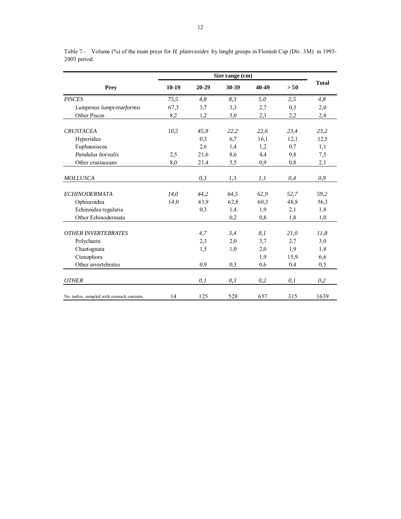| <b>Prey</b>                               | $10-19$ | 20-29 | 30-39 | 40-49 | > 50 | <b>Total</b> |
|-------------------------------------------|---------|-------|-------|-------|------|--------------|
| <b>PISCES</b>                             | 75,5    | 4,8   | 8,3   | 5,0   | 2,5  | 4,8          |
| Lumpenus lumpretaeformis                  | 67,3    | 3,7   | 3,3   | 2,7   | 0,3  | 2,0          |
| <b>Other Pisces</b>                       | 8,2     | 1,2   | 5,0   | 2,3   | 2,2  | 2,8          |
| <b>CRUSTACEA</b>                          | 10,5    | 45,9  | 22,2  | 22,6  | 23,4 | 23,2         |
| Hyperiidea                                |         | 0,3   | 6,7   | 16,1  | 12,1 | 12,5         |
| Euphausiacea                              |         | 2,6   | 1,4   | 1,2   | 0.7  | 1,1          |
| Pandalus borealis                         | 2.5     | 21,6  | 8,6   | 4,4   | 9,8  | 7,5          |
| Other crustaceans                         | 8,0     | 21,4  | 5,5   | 0,9   | 0,8  | 2,1          |
| <b>MOLLUSCA</b>                           |         | 0,3   | 1,3   | l, l  | 0,4  | 0,9          |
| <b>ECHINODERMATA</b>                      | 14,0    | 44,2  | 64,5  | 62,9  | 52,7 | 59,2         |
| Ophiuroidea                               | 14,0    | 43.9  | 62,8  | 60,3  | 48,8 | 56,3         |
| Echinoidea regularia                      |         | 0,3   | 1,4   | 1,9   | 2,1  | 1,8          |
| Other Echinodermata                       |         |       | 0,2   | 0,8   | 1,8  | 1,0          |
| <b>OTHER INVERTEBRATES</b>                |         | 4,7   | 3,4   | 8.1   | 21,0 | 11,8         |
| Polychaeta                                |         | 2,3   | 2,0   | 3,7   | 2,7  | 3,0          |
| Chaetognata                               |         | 1,5   | 1,0   | 2,0   | 1,9  | 1,8          |
| Ctenophora                                |         |       |       | 1,9   | 15,9 | 6,6          |
| Other invertebrates                       |         | 0,9   | 0,3   | 0,6   | 0,4  | 0,5          |
| <b>OTHER</b>                              |         | 0,1   | 0,3   | 0,2   | 0,1  | 0,2          |
| No. indivs. sampled with stomach contents | 14      | 125   | 528   | 657   | 315  | 1639         |

Table 7.- Volume (%) of the main preys for *H. platessoides* by lenght groups in Flemish Cap (Div. 3M) in 1993- 2003 period.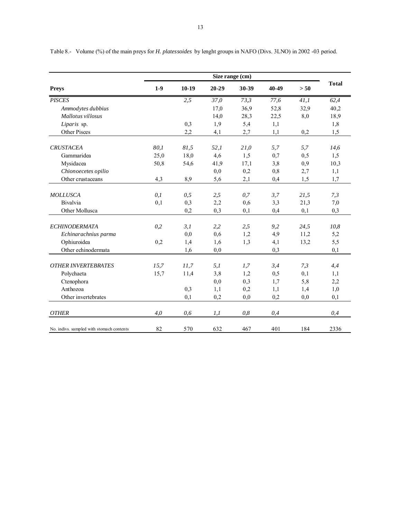|                                           | Size range (cm) |         |       |       |       |      |              |  |  |
|-------------------------------------------|-----------------|---------|-------|-------|-------|------|--------------|--|--|
| <b>Preys</b>                              | $1-9$           | $10-19$ | 20-29 | 30-39 | 40-49 | > 50 | <b>Total</b> |  |  |
| <b>PISCES</b>                             |                 | 2,5     | 37,0  | 73,3  | 77,6  | 41,1 | 62,4         |  |  |
| Ammodytes dubbius                         |                 |         | 17,0  | 36,9  | 52,8  | 32,9 | 40,2         |  |  |
| Mallotus villosus                         |                 |         | 14,0  | 28,3  | 22,5  | 8,0  | 18,9         |  |  |
| Liparis sp.                               |                 | 0,3     | 1,9   | 5,4   | 1,1   |      | 1,8          |  |  |
| Other Pisces                              |                 | 2,2     | 4,1   | 2,7   | 1,1   | 0,2  | 1,5          |  |  |
| <b>CRUSTACEA</b>                          | 80,1            | 81,5    | 52,1  | 21,0  | 5,7   | 5,7  | 14,6         |  |  |
| Gammaridea                                | 25,0            | 18,0    | 4,6   | 1,5   | 0,7   | 0, 5 | 1,5          |  |  |
| Mysidacea                                 | 50,8            | 54,6    | 41,9  | 17,1  | 3,8   | 0,9  | 10,3         |  |  |
| Chionoecetes opilio                       |                 |         | 0,0   | 0,2   | 0,8   | 2,7  | 1,1          |  |  |
| Other crustaceans                         | 4,3             | 8,9     | 5,6   | 2,1   | 0,4   | 1,5  | 1,7          |  |  |
| <b>MOLLUSCA</b>                           | 0,1             | 0, 5    | 2,5   | 0,7   | 3,7   | 21,5 | 7,3          |  |  |
| Bivalvia                                  | 0,1             | 0,3     | 2,2   | 0,6   | 3,3   | 21,3 | 7,0          |  |  |
| Other Mollusca                            |                 | 0,2     | 0,3   | 0.1   | 0,4   | 0,1  | 0.3          |  |  |
| <b>ECHINODERMATA</b>                      | 0,2             | 3,1     | 2,2   | 2,5   | 9,2   | 24,5 | 10,8         |  |  |
| Echinarachnius parma                      |                 | 0,0     | 0,6   | 1,2   | 4,9   | 11,2 | 5,2          |  |  |
| Ophiuroidea                               | 0,2             | 1,4     | 1,6   | 1.3   | 4,1   | 13,2 | 5,5          |  |  |
| Other echinodermata                       |                 | 1,6     | 0,0   |       | 0,3   |      | 0,1          |  |  |
| <b>OTHER INVERTEBRATES</b>                | 15,7            | 11,7    | 5.1   | 1,7   | 3,4   | 7,3  | 4,4          |  |  |
| Polychaeta                                | 15,7            | 11,4    | 3,8   | 1,2   | 0,5   | 0,1  | 1,1          |  |  |
| Ctenophora                                |                 |         | 0,0   | 0,3   | 1,7   | 5,8  | 2,2          |  |  |
| Anthozoa                                  |                 | 0,3     | 1,1   | 0,2   | 1,1   | 1,4  | 1,0          |  |  |
| Other invertebrates                       |                 | 0,1     | 0,2   | 0,0   | 0,2   | 0,0  | 0.1          |  |  |
|                                           |                 |         |       |       |       |      |              |  |  |
| <b>OTHER</b>                              | 4.0             | 0,6     | 1,1   | 0.8   | 0,4   |      | 0,4          |  |  |
| No. indivs. sampled with stomach contents | 82              | 570     | 632   | 467   | 401   | 184  | 2336         |  |  |

Table 8.- Volume (%) of the main preys for *H. platessoides* by lenght groups in NAFO (Divs. 3LNO) in 2002 -03 period.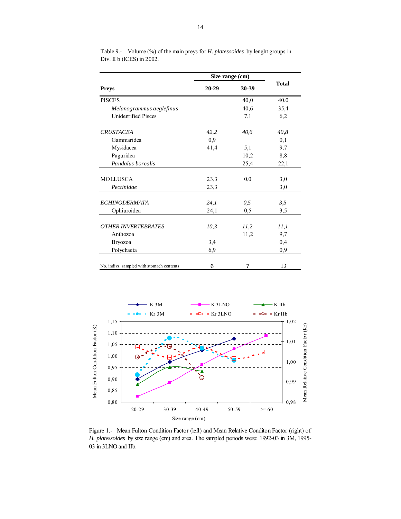|                                           | Size range (cm) |       |              |
|-------------------------------------------|-----------------|-------|--------------|
| <b>Preys</b>                              | $20 - 29$       | 30-39 | <b>Total</b> |
| <b>PISCES</b>                             |                 | 40,0  | 40,0         |
| Melanogrammus a eglefinus                 |                 | 40,6  | 35,4         |
| <b>Unidentified Pisces</b>                |                 | 7,1   | 6,2          |
| <b>CRUSTACEA</b>                          | 42,2            | 40,6  | 40,8         |
| Gammaridea                                | 0,9             |       | 0,1          |
| Mysidacea                                 | 41,4            | 5,1   | 9,7          |
| Paguridea                                 |                 | 10,2  | 8,8          |
| Pandalus borealis                         |                 | 25,4  | 22,1         |
| <b>MOLLUSCA</b>                           | 23,3            | 0,0   | 3,0          |
| Pectinidae                                | 23,3            |       | 3,0          |
| <b>ECHINODERMATA</b>                      | 24,1            | 0,5   | 3,5          |
| Ophiuroidea                               | 24,1            | 0,5   | 3,5          |
| <b>OTHER INVERTEBRATES</b>                | 10,3            | 11,2  | 11,1         |
| Anthozoa                                  |                 | 11,2  | 9,7          |
| <b>Bryozoa</b>                            | 3,4             |       | 0,4          |
| Polychaeta                                | 6,9             |       | 0,9          |
| No. indivs. sampled with stomach contents | 6               | 7     | 13           |

Table 9.- Volume (%) of the main preys for *H. platessoides* by lenght groups in Div. II b (ICES) in 2002.



Figure 1.- Mean Fulton Condition Factor (left) and Mean Relative Conditon Factor (right) of *H. platessoides* by size range (cm) and area. The sampled periods were: 1992-03 in 3M, 1995- 03 in 3LNO and IIb.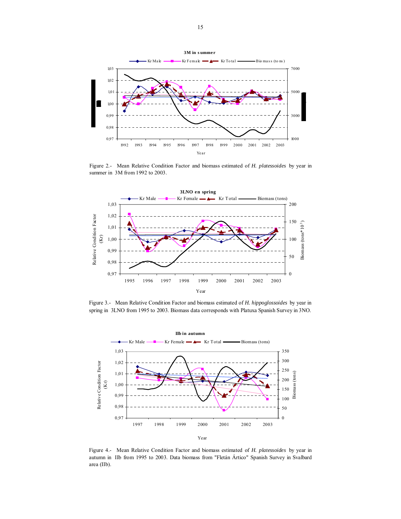

Figure 2.- Mean Relative Condition Factor and biomass estimated of *H. platessoides* by year in summer in 3M from 1992 to 2003.



Figure 3.- Mean Relative Condition Factor and biomass estimated of *H. hippoglossoides* by year in spring in 3LNO from 1995 to 2003. Biomass data corresponds with Platuxa Spanish Survey in 3NO.



Figure 4.- Mean Relative Condition Factor and biomass estimated of *H. platessoides* by year in autumn in IIb from 1995 to 2003. Data biomass from "Fletán Ártico" Spanish Survey in Svalbard area (IIb).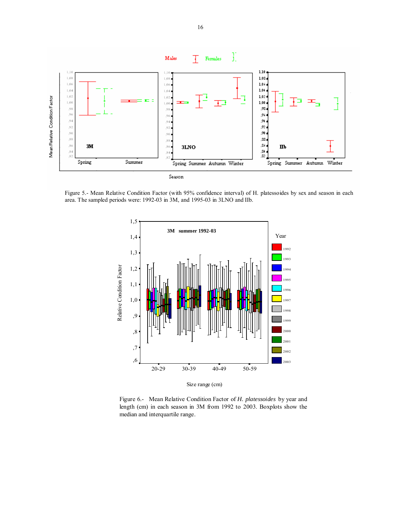

Figure 5.- Mean Relative Condition Factor (with 95% confidence interval) of H. platessoides by sex and season in each area. The sampled periods were: 1992-03 in 3M, and 1995-03 in 3LNO and IIb.



Figure 6.- Mean Relative Condition Factor of *H. platessoides* by year and length (cm) in each season in 3M from 1992 to 2003. Boxplots show the median and interquartile range.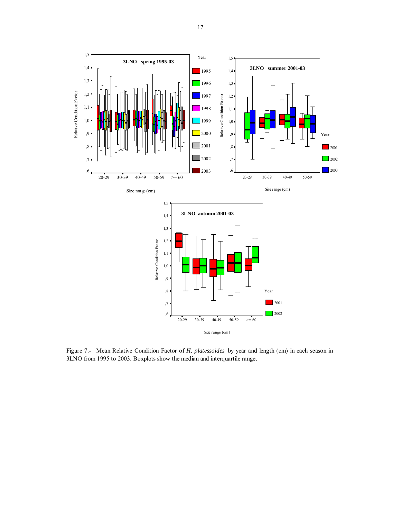

Figure 7.- Mean Relative Condition Factor of *H. platessoides* by year and length (cm) in each season in 3LNO from 1995 to 2003. Boxplots show the median and interquartile range.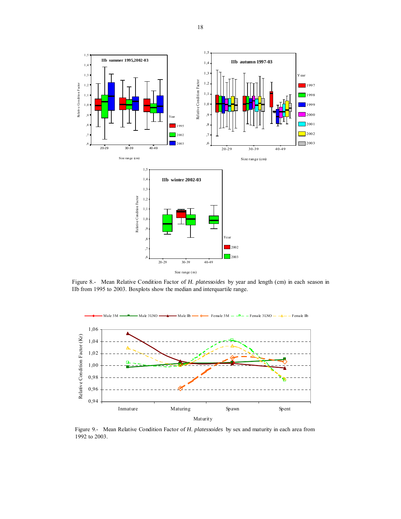

Figure 8.- Mean Relative Condition Factor of *H. platessoides* by year and length (cm) in each season in IIb from 1995 to 2003. Boxplots show the median and interquartile range.



Figure 9.- Mean Relative Condition Factor of *H. platessoides* by sex and maturity in each area from 1992 to 2003.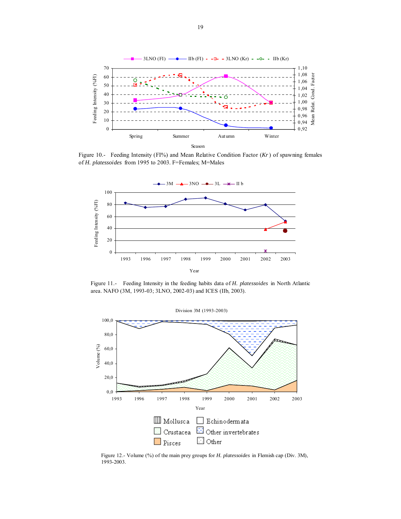

Figure 10.- Feeding Intensity (FI%) and Mean Relative Condition Factor (*Kr*) of spawning females of *H. platessoides* from 1995 to 2003. F=Females; M=Males



Figure 11.- Feeding Intensity in the feeding habits data of *H. platessoides* in North Atlantic area. NAFO (3M, 1993-03; 3LNO, 2002-03) and ICES (IIb, 2003).



Figure 12.- Volume (%) of the main prey groups for *H. platessoides* in Flemish cap (Div. 3M), 1993-2003.